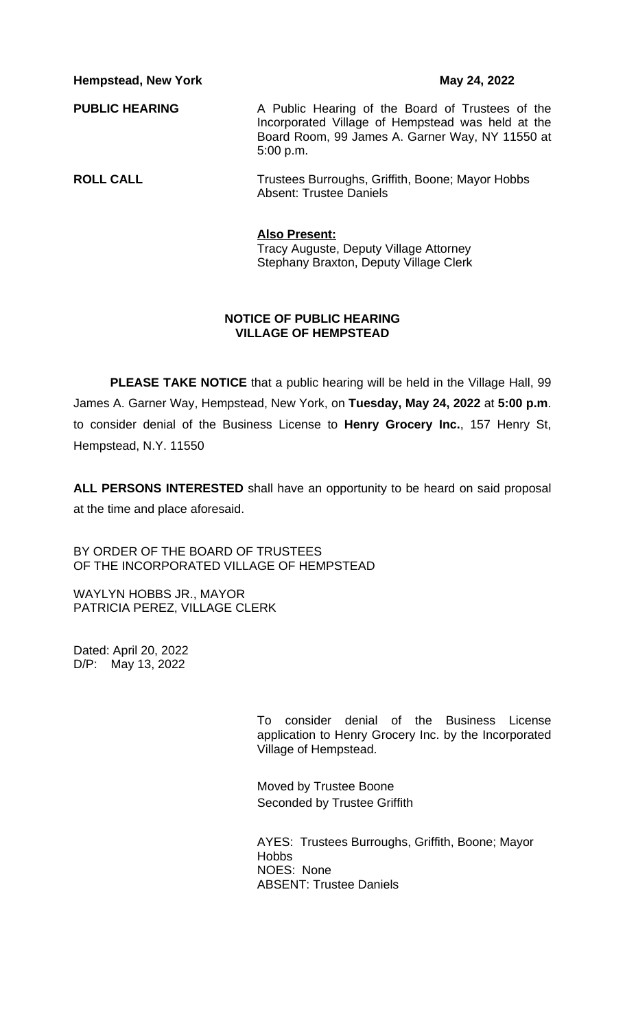**Hempstead, New York May 24, 2022** 

| <b>PUBLIC HEARING</b> | A Public Hearing of the Board of Trustees of the<br>Incorporated Village of Hempstead was held at the<br>Board Room, 99 James A. Garner Way, NY 11550 at |
|-----------------------|----------------------------------------------------------------------------------------------------------------------------------------------------------|
|                       | $5:00$ p.m.                                                                                                                                              |

| <b>ROLL CALL</b> | Trustees Burroughs, Griffith, Boone; Mayor Hobbs |
|------------------|--------------------------------------------------|
|                  | <b>Absent: Trustee Daniels</b>                   |

# **Also Present:**

Tracy Auguste, Deputy Village Attorney Stephany Braxton, Deputy Village Clerk

## **NOTICE OF PUBLIC HEARING VILLAGE OF HEMPSTEAD**

**PLEASE TAKE NOTICE** that a public hearing will be held in the Village Hall, 99 James A. Garner Way, Hempstead, New York, on **Tuesday, May 24, 2022** at **5:00 p.m**. to consider denial of the Business License to **Henry Grocery Inc.**, 157 Henry St, Hempstead, N.Y. 11550

**ALL PERSONS INTERESTED** shall have an opportunity to be heard on said proposal at the time and place aforesaid.

BY ORDER OF THE BOARD OF TRUSTEES OF THE INCORPORATED VILLAGE OF HEMPSTEAD

WAYLYN HOBBS JR., MAYOR PATRICIA PEREZ, VILLAGE CLERK

Dated: April 20, 2022 D/P: May 13, 2022

> To consider denial of the Business License application to Henry Grocery Inc. by the Incorporated Village of Hempstead.

Moved by Trustee Boone Seconded by Trustee Griffith

AYES: Trustees Burroughs, Griffith, Boone; Mayor **Hobbs** NOES: None ABSENT: Trustee Daniels